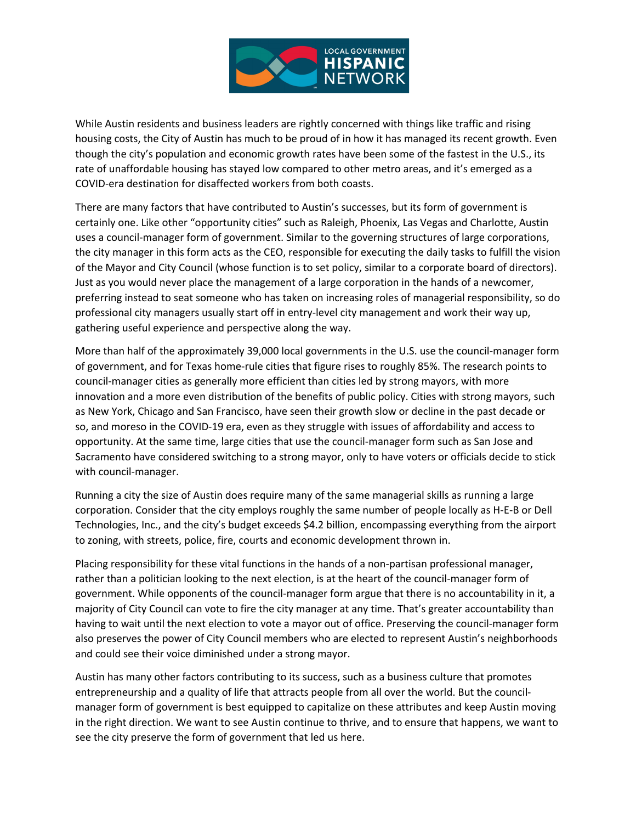

While Austin residents and business leaders are rightly concerned with things like traffic and rising housing costs, the City of Austin has much to be proud of in how it has managed its recent growth. Even though the city's population and economic growth rates have been some of the fastest in the U.S., its rate of unaffordable housing has stayed low compared to other metro areas, and it's emerged as a COVID-era destination for disaffected workers from both coasts.

There are many factors that have contributed to Austin's successes, but its form of government is certainly one. Like other "opportunity cities" such as Raleigh, Phoenix, Las Vegas and Charlotte, Austin uses a council-manager form of government. Similar to the governing structures of large corporations, the city manager in this form acts as the CEO, responsible for executing the daily tasks to fulfill the vision of the Mayor and City Council (whose function is to set policy, similar to a corporate board of directors). Just as you would never place the management of a large corporation in the hands of a newcomer, preferring instead to seat someone who has taken on increasing roles of managerial responsibility, so do professional city managers usually start off in entry-level city management and work their way up, gathering useful experience and perspective along the way.

More than half of the approximately 39,000 local governments in the U.S. use the council-manager form of government, and for Texas home-rule cities that figure rises to roughly 85%. The research points to council-manager cities as generally more efficient than cities led by strong mayors, with more innovation and a more even distribution of the benefits of public policy. Cities with strong mayors, such as New York, Chicago and San Francisco, have seen their growth slow or decline in the past decade or so, and moreso in the COVID-19 era, even as they struggle with issues of affordability and access to opportunity. At the same time, large cities that use the council-manager form such as San Jose and Sacramento have considered switching to a strong mayor, only to have voters or officials decide to stick with council-manager.

Running a city the size of Austin does require many of the same managerial skills as running a large corporation. Consider that the city employs roughly the same number of people locally as H-E-B or Dell Technologies, Inc., and the city's budget exceeds \$4.2 billion, encompassing everything from the airport to zoning, with streets, police, fire, courts and economic development thrown in.

Placing responsibility for these vital functions in the hands of a non-partisan professional manager, rather than a politician looking to the next election, is at the heart of the council-manager form of government. While opponents of the council-manager form argue that there is no accountability in it, a majority of City Council can vote to fire the city manager at any time. That's greater accountability than having to wait until the next election to vote a mayor out of office. Preserving the council-manager form also preserves the power of City Council members who are elected to represent Austin's neighborhoods and could see their voice diminished under a strong mayor.

Austin has many other factors contributing to its success, such as a business culture that promotes entrepreneurship and a quality of life that attracts people from all over the world. But the councilmanager form of government is best equipped to capitalize on these attributes and keep Austin moving in the right direction. We want to see Austin continue to thrive, and to ensure that happens, we want to see the city preserve the form of government that led us here.